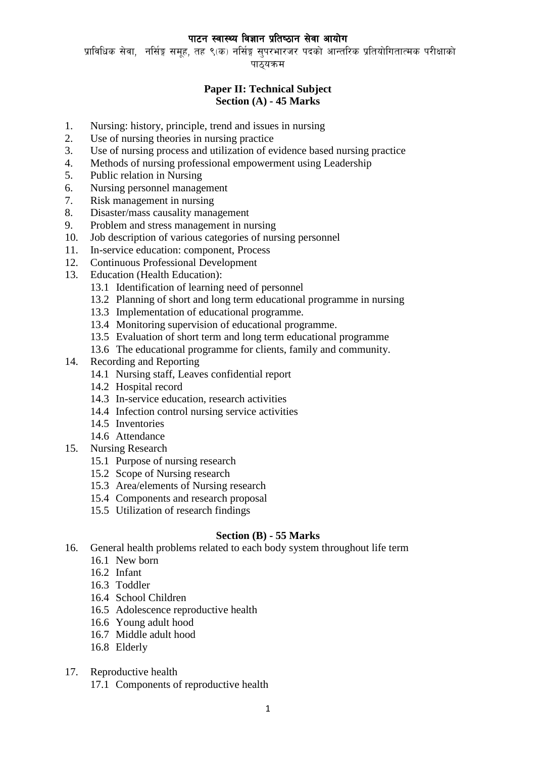# पाटन स्वास्थ्य विज्ञान प्रतिष्ठान सेवा आयोग

प्राविधिक सेवा, नर्सिङ्ग समह, तह ९(क) नर्सिङ्ग सुपरभारजर पदको आन्तरिक प्रतियोगितात्मक परीक्षाको पाठयक्रम

# **Paper II: Technical Subject Section (A) - 45 Marks**

- 1. Nursing: history, principle, trend and issues in nursing
- 2. Use of nursing theories in nursing practice
- 3. Use of nursing process and utilization of evidence based nursing practice
- 4. Methods of nursing professional empowerment using Leadership
- 5. Public relation in Nursing
- 6. Nursing personnel management
- 7. Risk management in nursing
- 8. Disaster/mass causality management
- 9. Problem and stress management in nursing
- 10. Job description of various categories of nursing personnel
- 11. In-service education: component, Process
- 12. Continuous Professional Development
- 13. Education (Health Education):
	- 13.1 Identification of learning need of personnel
	- 13.2 Planning of short and long term educational programme in nursing
	- 13.3 Implementation of educational programme.
	- 13.4 Monitoring supervision of educational programme.
	- 13.5 Evaluation of short term and long term educational programme
	- 13.6 The educational programme for clients, family and community.
- 14. Recording and Reporting
	- 14.1 Nursing staff, Leaves confidential report
	- 14.2 Hospital record
	- 14.3 In-service education, research activities
	- 14.4 Infection control nursing service activities
	- 14.5 Inventories
	- 14.6 Attendance
- 15. Nursing Research
	- 15.1 Purpose of nursing research
	- 15.2 Scope of Nursing research
	- 15.3 Area/elements of Nursing research
	- 15.4 Components and research proposal
	- 15.5 Utilization of research findings

### **Section (B) - 55 Marks**

- 16. General health problems related to each body system throughout life term
	- 16.1 New born
	- 16.2 Infant
	- 16.3 Toddler
	- 16.4 School Children
	- 16.5 Adolescence reproductive health
	- 16.6 Young adult hood
	- 16.7 Middle adult hood
	- 16.8 Elderly
- 17. Reproductive health
	- 17.1 Components of reproductive health